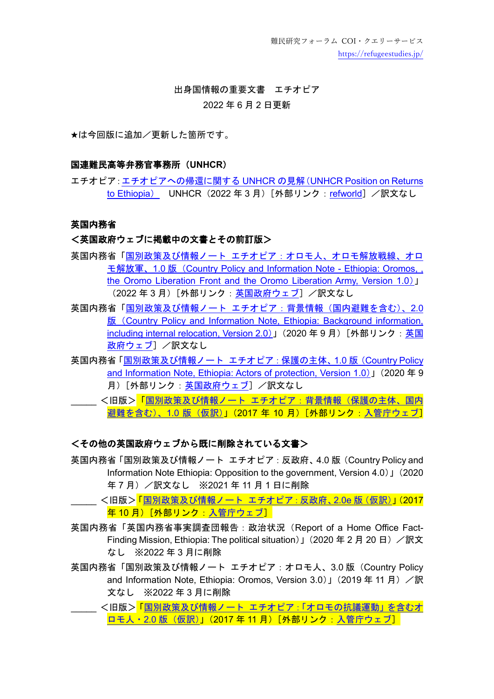難民研究フォーラム COI・クエリーサービス <https://refugeestudies.jp/>

# 出身国情報の重要文書 エチオピア 2022 年 6 月 2 日更新

★は今回版に追加/更新した箇所です。

#### 国連難民高等弁務官事務所(**UNHCR**)

エチオピア[:エチオピアへの帰還に関する](https://www.refworld.org/docid/623079204.html) UNHCR の見解(UNHCR Position on Returns to [Ethiopia](https://www.refworld.org/docid/623079204.html)) UNHCR (2022 年 3 月)「外部リンク: [refworld](https://www.refworld.org/cgi-bin/texis/vtx/rwmain)] /訳文なし

#### 英国内務省

#### <英国政府ウェブに掲載中の文書とその前訂版>

- 英国内務省「国別政策及び情報ノート [エチオピア:オロモ人、オロモ解放戦線、オロ](https://www.gov.uk/government/publications/ethiopia-country-policy-and-information-notes/country-policy-and-information-note-oromos-the-oromo-liberation-front-and-the-oromo-liberation-army-ethiopia-march-2022-accessible) モ解放軍、1.0 版([Country Policy and Information Note -](https://www.gov.uk/government/publications/ethiopia-country-policy-and-information-notes/country-policy-and-information-note-oromos-the-oromo-liberation-front-and-the-oromo-liberation-army-ethiopia-march-2022-accessible) Ethiopia: Oromos, , [the Oromo Liberation Front and the Oromo Liberation Army, Version 1.0](https://www.gov.uk/government/publications/ethiopia-country-policy-and-information-notes/country-policy-and-information-note-oromos-the-oromo-liberation-front-and-the-oromo-liberation-army-ethiopia-march-2022-accessible))」 (2022年3月)[外部リンク[:英国政府ウェブ\]](https://www.gov.uk/government/collections/country-policy-and-information-notes)/訳文なし
- 英国内務省「国別政策及び情報ノート [エチオピア:背景情報\(国内避難を含む\)、](https://assets.publishing.service.gov.uk/government/uploads/system/uploads/attachment_data/file/920196/ETH_-_CPIN-__BN_IR_-_V2.0e.pdf)2.0 版([Country Policy and Information Note, Ethiopia: Background information,](https://assets.publishing.service.gov.uk/government/uploads/system/uploads/attachment_data/file/920196/ETH_-_CPIN-__BN_IR_-_V2.0e.pdf)  [including internal relocation, Version 2.0](https://assets.publishing.service.gov.uk/government/uploads/system/uploads/attachment_data/file/920196/ETH_-_CPIN-__BN_IR_-_V2.0e.pdf))」(2020 年 9 月)[外部リンク[:英国](https://www.gov.uk/government/collections/country-policy-and-information-notes) [政府ウェブ\]](https://www.gov.uk/government/collections/country-policy-and-information-notes) /訳文なし
- 英国内務省「国別政策及び情報ノート [エチオピア:保護の主体、](https://assets.publishing.service.gov.uk/government/uploads/system/uploads/attachment_data/file/920200/ETH_-_CPIN_-_BN_AoP_-_V1.0e.pdf)1.0 版(Country Policy [and Information Note, Ethiopia: Actors of protection, Version 1.0](https://assets.publishing.service.gov.uk/government/uploads/system/uploads/attachment_data/file/920200/ETH_-_CPIN_-_BN_AoP_-_V1.0e.pdf))」(2020 年 9 月)[外部リンク[:英国政府ウェブ\]](https://www.gov.uk/government/collections/country-policy-and-information-notes) /訳文なし
- \_\_\_ <旧版><mark>「国別政策及び情報ノート [エチオピア:背景情報\(保護の主体、国内](https://www.moj.go.jp/isa/content/930004003.pdf)</mark> [避難を含む\)、](https://www.moj.go.jp/isa/content/930004003.pdf)1.0 版(仮訳)」(2017 年 10 月)[外部リンク[:入管庁ウェブ\]](https://www.moj.go.jp/isa/publications/materials/nyuukokukanri03_00045.html)

### <その他の英国政府ウェブから既に削除されている文書>

- 英国内務省「国別政策及び情報ノート エチオピア:反政府、4.0 版(Country Policy and Information Note Ethiopia: Opposition to the government, Version 4.0)」(2020 年 7 月)/訳文なし ※2021 年 11 月 1 日に削除
	- <旧版><mark>[「国別政策及び情報ノート](https://www.moj.go.jp/isa/content/930004004.pdf) エチオピア: 反政府、2.0e 版 (仮訳)」(2017</mark> 年 10 月)[外部リンク[:入管庁ウェブ\]](https://www.moj.go.jp/isa/publications/materials/nyuukokukanri03_00045.html)
- 英国内務省「英国内務省事実調査団報告:政治状況(Report of a Home Office Fact-Finding Mission, Ethiopia: The political situation) 」(2020年2月20日) /訳文 なし ※2022 年 3 月に削除
- 英国内務省「国別政策及び情報ノート エチオピア:オロモ人、3.0版 (Country Policy and Information Note, Ethiopia: Oromos, Version 3.0)」(2019年11月) 文なし ※2022 年 3 月に削除
	- <旧版><mark>「国別政策及び情報ノート [エチオピア:「オロモの抗議運動」を含むオ](https://www.moj.go.jp/isa/content/930004005.pdf)</mark> ロモ人・2.0 [版\(仮訳\)」](https://www.moj.go.jp/isa/content/930004005.pdf)(2017 年 11 月)[外部リンク[:入管庁ウェブ\]](https://www.moj.go.jp/isa/publications/materials/nyuukokukanri03_00045.html)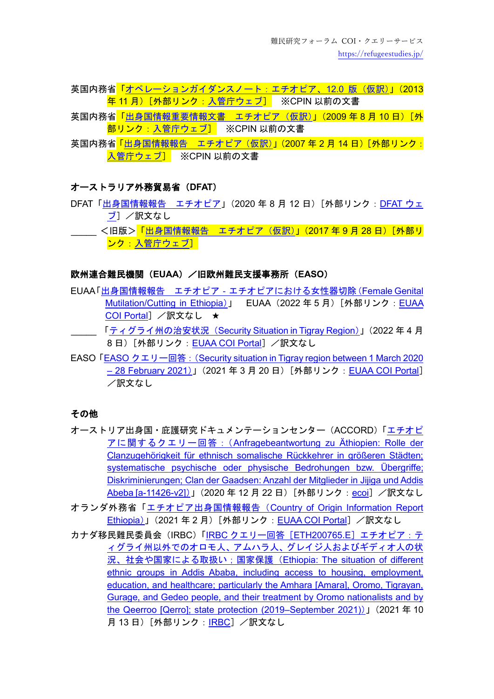- 英国内務省<mark>[「オペレーションガイダンスノート:エチオピア、](https://www.moj.go.jp/isa/content/930003245.pdf)12.0 版(仮訳)」(2013</mark> <mark>年 11 月)[外部リンク[:入管庁ウェブ\]](https://www.moj.go.jp/isa/publications/materials/nyuukokukanri03_00045.html)</mark> ※CPIN 以前の文書
- 英国内務省<mark>「<u>出身国情報重要情報文書 エチオピア(仮訳)</u>」(2009 年 8 月 10 日)[外</mark> 部リンク[:入管庁ウェブ\]](https://www.moj.go.jp/isa/publications/materials/nyuukokukanri03_00045.html) ※CPIN 以前の文書
- 英国内務省<mark>「出身国情報報告 エチオピア (仮訳)」(2007 年 2 月 14 日)「外部リンク:</mark> [入管庁ウェブ\]](https://www.moj.go.jp/isa/publications/materials/nyuukokukanri03_00045.html) ※CPIN 以前の文書

## オーストラリア外務貿易省(**DFAT**)

- DFAT[「出身国情報報告](https://www.dfat.gov.au/sites/default/files/country-information-report-ethiopia.pdf) エチオピア」(2020 年 8 月 12 日)[外部リンク:[DFAT](https://www.dfat.gov.au/about-us/publications/Pages/country-information-reports) ウェ [ブ\]](https://www.dfat.gov.au/about-us/publications/Pages/country-information-reports) /訳文なし
- \_\_ <旧版><mark>「出身国情報報告 [エチオピア\(仮訳\)」](https://www.moj.go.jp/isa/content/930004210.pdf)(2017 年 9 月 28 日)[外部リ</mark> ンク 入管庁ウェブ]

#### 欧州連合難民機関(**EUAA**)/旧欧州難民支援事務所(**EASO**)

- EUAA「出身国情報報告 [エチオピア‐エチオピアにおける女性器切除\(](https://coi.euaa.europa.eu/administration/easo/PLib/2022_05_EUAA_COI_Report_Ethiopia_FGM.pdf)Female Genital [Mutilation/Cutting in Ethiopia](https://coi.euaa.europa.eu/administration/easo/PLib/2022_05_EUAA_COI_Report_Ethiopia_FGM.pdf))」 [EUAA](https://coi.euaa.europa.eu/Pages/home.aspx) (2022年5月)[外部リンク: EUAA [COI Portal](https://coi.euaa.europa.eu/Pages/home.aspx)] /訳文なし ★
	- 「ティグライ州の治安状況 ([Security Situation in Tigray Region](https://coi.euaa.europa.eu/administration/easo/PLib/2022_03_Q19_EUAA_COI_Query_Response_Ethiopia_Sec_Sit.pdf))」(2022年4月 8日)[外部リンク: [EUAA COI Portal](https://coi.euaa.europa.eu/Pages/home.aspx)] /訳文なし
- EASO「EASO クエリー回答:([Security situation in Tigray region between 1 March 2020](https://coi.easo.europa.eu/administration/easo/PLib/2021_03_Q-02_EASO_COI_QUERY_Ethiopia_Tigray.pdf)  – [28 February 2021](https://coi.easo.europa.eu/administration/easo/PLib/2021_03_Q-02_EASO_COI_QUERY_Ethiopia_Tigray.pdf))」(2021 年 3 月 20 日)[外部リンク:[EUAA COI Portal](https://coi.euaa.europa.eu/Pages/home.aspx)] /訳文なし

## その他

- オーストリア出身国・庇護研究ドキュメンテーションセンター(ACCORD)[「エチオピ](https://www.ecoi.net/en/document/2043988.html) アに関するクエリー回答:([Anfragebeantwortung zu Äthiopien: Rolle der](https://www.ecoi.net/en/document/2043988.html)  [Clanzugehörigkeit für ethnisch somalische Rückkehrer in größeren Städten;](https://www.ecoi.net/en/document/2043988.html)  [systematische psychische oder physische Bedrohungen bzw. Übergriffe;](https://www.ecoi.net/en/document/2043988.html)  [Diskriminierungen; Clan der Gaadsen: Anzahl der Mitglieder in Jijiga und Addis](https://www.ecoi.net/en/document/2043988.html)  [Abeba \[a-11426-v2\]](https://www.ecoi.net/en/document/2043988.html))」(2020年12月22日)[外部リンク: [ecoi](https://www.ecoi.net/)] /訳文なし
- オランダ外務省「エチオピア出身国情報報告([Country of Origin Information Report](https://coi.euaa.europa.eu/administration/netherlands/PLib/02_2021_MinBZ_NL_COI_report_Ethiopia.pdf)  [Ethiopia](https://coi.euaa.europa.eu/administration/netherlands/PLib/02_2021_MinBZ_NL_COI_report_Ethiopia.pdf))」(2021年2月)[外部リンク: [EUAA COI Portal](https://coi.euaa.europa.eu/Pages/home.aspx)] /訳文なし
- カナダ移民難民委員会 (IRBC)「IRBC クエリー回答 [ETH200765.E] エチオピア:テ [ィグライ州以外でのオロモ人、アムハラ人、グレイジ人およびギディオ人の状](https://irb-cisr.gc.ca/en/country-information/rir/Pages/index.aspx?doc=458455&pls=1) [況、社会や国家による取扱い;国家保護\(](https://irb-cisr.gc.ca/en/country-information/rir/Pages/index.aspx?doc=458455&pls=1)Ethiopia: The situation of different [ethnic groups in Addis Ababa, including access to housing, employment,](https://irb-cisr.gc.ca/en/country-information/rir/Pages/index.aspx?doc=458455&pls=1)  [education, and healthcare; particularly the Amhara \[Amara\], Oromo, Tigrayan,](https://irb-cisr.gc.ca/en/country-information/rir/Pages/index.aspx?doc=458455&pls=1)  [Gurage, and Gedeo people, and their treatment by Oromo nationalists and by](https://irb-cisr.gc.ca/en/country-information/rir/Pages/index.aspx?doc=458455&pls=1)  [the Qeerroo \[Qerro\]; state protection \(2019–September 2021\)](https://irb-cisr.gc.ca/en/country-information/rir/Pages/index.aspx?doc=458455&pls=1))」(2021 年 10 月 13 日) [外部リンク: [IRBC](https://irb-cisr.gc.ca/en/Pages/index.aspx)] /訳文なし